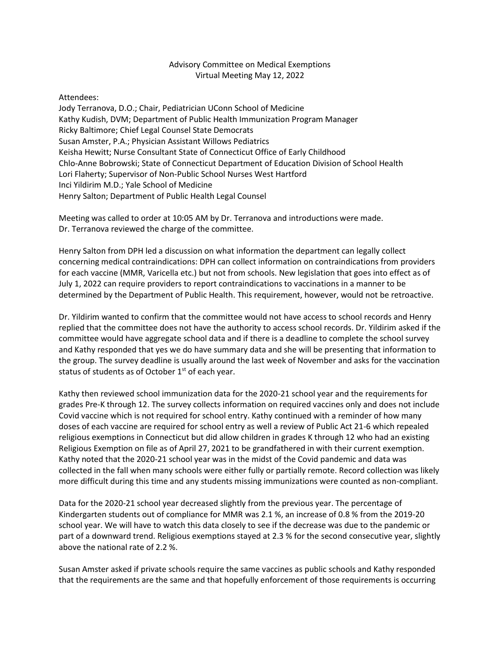## Advisory Committee on Medical Exemptions Virtual Meeting May 12, 2022

## Attendees:

Jody Terranova, D.O.; Chair, Pediatrician UConn School of Medicine Kathy Kudish, DVM; Department of Public Health Immunization Program Manager Ricky Baltimore; Chief Legal Counsel State Democrats Susan Amster, P.A.; Physician Assistant Willows Pediatrics Keisha Hewitt; Nurse Consultant State of Connecticut Office of Early Childhood Chlo-Anne Bobrowski; State of Connecticut Department of Education Division of School Health Lori Flaherty; Supervisor of Non-Public School Nurses West Hartford Inci Yildirim M.D.; Yale School of Medicine Henry Salton; Department of Public Health Legal Counsel

Meeting was called to order at 10:05 AM by Dr. Terranova and introductions were made. Dr. Terranova reviewed the charge of the committee.

Henry Salton from DPH led a discussion on what information the department can legally collect concerning medical contraindications: DPH can collect information on contraindications from providers for each vaccine (MMR, Varicella etc.) but not from schools. New legislation that goes into effect as of July 1, 2022 can require providers to report contraindications to vaccinations in a manner to be determined by the Department of Public Health. This requirement, however, would not be retroactive.

Dr. Yildirim wanted to confirm that the committee would not have access to school records and Henry replied that the committee does not have the authority to access school records. Dr. Yildirim asked if the committee would have aggregate school data and if there is a deadline to complete the school survey and Kathy responded that yes we do have summary data and she will be presenting that information to the group. The survey deadline is usually around the last week of November and asks for the vaccination status of students as of October  $1<sup>st</sup>$  of each year.

Kathy then reviewed school immunization data for the 2020-21 school year and the requirements for grades Pre-K through 12. The survey collects information on required vaccines only and does not include Covid vaccine which is not required for school entry. Kathy continued with a reminder of how many doses of each vaccine are required for school entry as well a review of Public Act 21-6 which repealed religious exemptions in Connecticut but did allow children in grades K through 12 who had an existing Religious Exemption on file as of April 27, 2021 to be grandfathered in with their current exemption. Kathy noted that the 2020-21 school year was in the midst of the Covid pandemic and data was collected in the fall when many schools were either fully or partially remote. Record collection was likely more difficult during this time and any students missing immunizations were counted as non-compliant.

Data for the 2020-21 school year decreased slightly from the previous year. The percentage of Kindergarten students out of compliance for MMR was 2.1 %, an increase of 0.8 % from the 2019-20 school year. We will have to watch this data closely to see if the decrease was due to the pandemic or part of a downward trend. Religious exemptions stayed at 2.3 % for the second consecutive year, slightly above the national rate of 2.2 %.

Susan Amster asked if private schools require the same vaccines as public schools and Kathy responded that the requirements are the same and that hopefully enforcement of those requirements is occurring